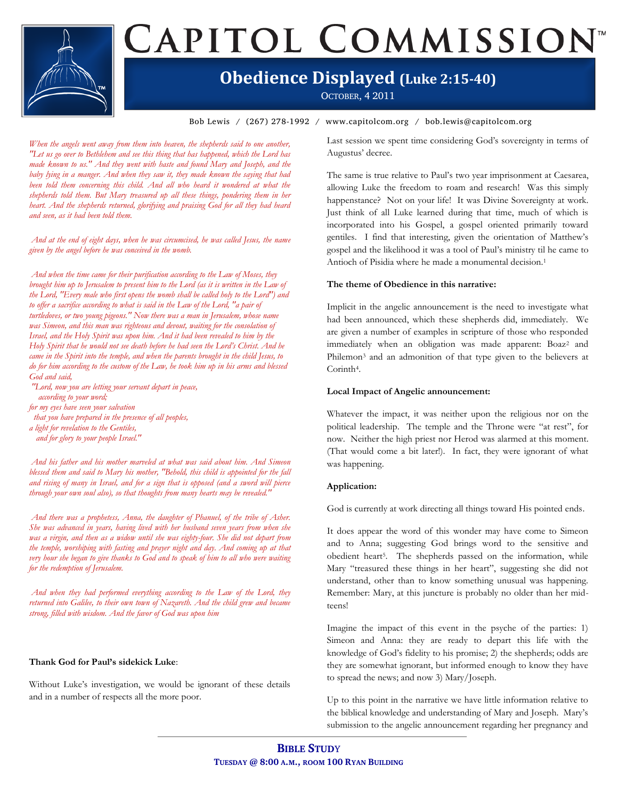# CAPITOL COMMISSION<sup>®</sup>

### **Obedience Displayed (Luke 2:15-40)**

OCTOBER, 4 2011

Bob Lewis / (267) 278-1992 / www.capitolcom.org / bob.lewis@capitolcom.org

*When the angels went away from them into heaven, the shepherds said to one another, "Let us go over to Bethlehem and see this thing that has happened, which the Lord has made known to us." And they went with haste and found Mary and Joseph, and the baby lying in a manger. And when they saw it, they made known the saying that had*  been told them concerning this child. And all who heard it wondered at what the *shepherds told them. But Mary treasured up all these things, pondering them in her heart. And the shepherds returned, glorifying and praising God for all they had heard and seen, as it had been told them.*

*And at the end of eight days, when he was circumcised, he was called Jesus, the name given by the angel before he was conceived in the womb.*

*And when the time came for their purification according to the Law of Moses, they brought him up to Jerusalem to present him to the Lord (as it is written in the Law of the Lord, "Every male who first opens the womb shall be called holy to the Lord") and to offer a sacrifice according to what is said in the Law of the Lord, "a pair of turtledoves, or two young pigeons." Now there was a man in Jerusalem, whose name was Simeon, and this man was righteous and devout, waiting for the consolation of Israel, and the Holy Spirit was upon him. And it had been revealed to him by the Holy Spirit that he would not see death before he had seen the Lord's Christ. And he came in the Spirit into the temple, and when the parents brought in the child Jesus, to do for him according to the custom of the Law, he took him up in his arms and blessed God and said,*

*"Lord, now you are letting your servant depart in peace, according to your word;*

*for my eyes have seen your salvation*

- *that you have prepared in the presence of all peoples,*
- *a light for revelation to the Gentiles, and for glory to your people Israel."*

*And his father and his mother marveled at what was said about him. And Simeon blessed them and said to Mary his mother, "Behold, this child is appointed for the fall and rising of many in Israel, and for a sign that is opposed (and a sword will pierce through your own soul also), so that thoughts from many hearts may be revealed."*

*And there was a prophetess, Anna, the daughter of Phanuel, of the tribe of Asher. She was advanced in years, having lived with her husband seven years from when she was a virgin, and then as a widow until she was eighty-four. She did not depart from the temple, worshiping with fasting and prayer night and day. And coming up at that very hour she began to give thanks to God and to speak of him to all who were waiting for the redemption of Jerusalem.*

*And when they had performed everything according to the Law of the Lord, they returned into Galilee, to their own town of Nazareth. And the child grew and became strong, filled with wisdom. And the favor of God was upon him*

### **Thank God for Paul's sidekick Luke**:

Without Luke's investigation, we would be ignorant of these details and in a number of respects all the more poor.

Last session we spent time considering God's sovereignty in terms of Augustus' decree.

The same is true relative to Paul's two year imprisonment at Caesarea, allowing Luke the freedom to roam and research! Was this simply happenstance? Not on your life! It was Divine Sovereignty at work. Just think of all Luke learned during that time, much of which is incorporated into his Gospel, a gospel oriented primarily toward gentiles. I find that interesting, given the orientation of Matthew's gospel and the likelihood it was a tool of Paul's ministry til he came to Antioch of Pisidia where he made a monumental decision.<sup>1</sup>

### **The theme of Obedience in this narrative:**

Implicit in the angelic announcement is the need to investigate what had been announced, which these shepherds did, immediately. We are given a number of examples in scripture of those who responded immediately when an obligation was made apparent: Boaz<sup>2</sup> and Philemon<sup>3</sup> and an admonition of that type given to the believers at Corinth4.

### **Local Impact of Angelic announcement:**

Whatever the impact, it was neither upon the religious nor on the political leadership. The temple and the Throne were "at rest", for now. Neither the high priest nor Herod was alarmed at this moment. (That would come a bit later!). In fact, they were ignorant of what was happening.

### **Application:**

God is currently at work directing all things toward His pointed ends.

It does appear the word of this wonder may have come to Simeon and to Anna; suggesting God brings word to the sensitive and obedient heart5. The shepherds passed on the information, while Mary "treasured these things in her heart", suggesting she did not understand, other than to know something unusual was happening. Remember: Mary, at this juncture is probably no older than her midteens!

Imagine the impact of this event in the psyche of the parties: 1) Simeon and Anna: they are ready to depart this life with the knowledge of God's fidelity to his promise; 2) the shepherds; odds are they are somewhat ignorant, but informed enough to know they have to spread the news; and now 3) Mary/Joseph.

Up to this point in the narrative we have little information relative to the biblical knowledge and understanding of Mary and Joseph. Mary's submission to the angelic announcement regarding her pregnancy and